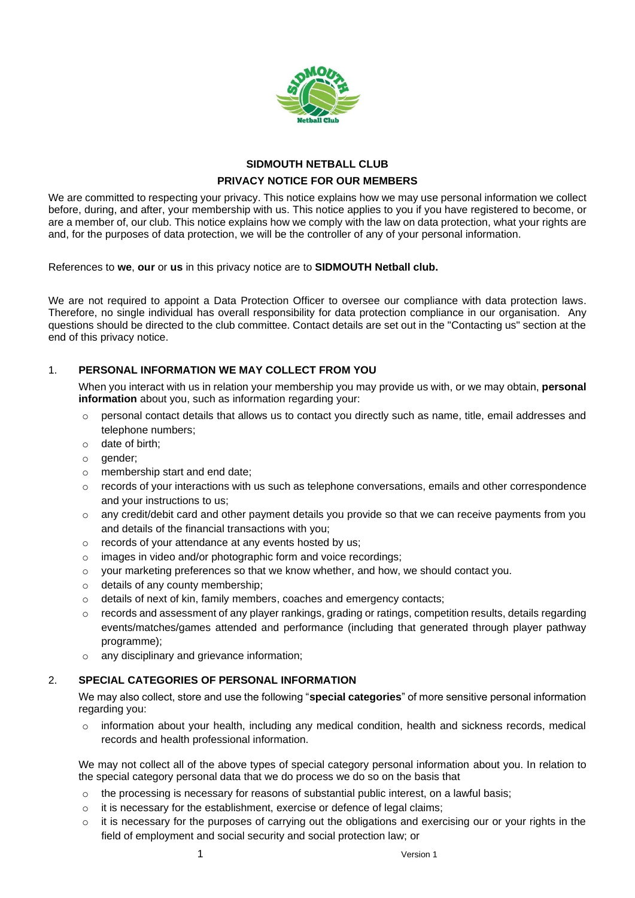

# **SIDMOUTH NETBALL CLUB PRIVACY NOTICE FOR OUR MEMBERS**

We are committed to respecting your privacy. This notice explains how we may use personal information we collect before, during, and after, your membership with us. This notice applies to you if you have registered to become, or are a member of, our club. This notice explains how we comply with the law on data protection, what your rights are and, for the purposes of data protection, we will be the controller of any of your personal information.

References to **we**, **our** or **us** in this privacy notice are to **SIDMOUTH Netball club.**

We are not required to appoint a Data Protection Officer to oversee our compliance with data protection laws. Therefore, no single individual has overall responsibility for data protection compliance in our organisation. Any questions should be directed to the club committee. Contact details are set out in the "Contacting us" section at the end of this privacy notice.

# 1. **PERSONAL INFORMATION WE MAY COLLECT FROM YOU**

When you interact with us in relation your membership you may provide us with, or we may obtain, **personal information** about you, such as information regarding your:

- $\circ$  personal contact details that allows us to contact you directly such as name, title, email addresses and telephone numbers;
- o date of birth;
- o gender;
- o membership start and end date;
- $\circ$  records of your interactions with us such as telephone conversations, emails and other correspondence and your instructions to us;
- $\circ$  any credit/debit card and other payment details you provide so that we can receive payments from you and details of the financial transactions with you;
- o records of your attendance at any events hosted by us;
- o images in video and/or photographic form and voice recordings;
- $\circ$  your marketing preferences so that we know whether, and how, we should contact you.
- o details of any county membership;
- o details of next of kin, family members, coaches and emergency contacts;
- $\circ$  records and assessment of any player rankings, grading or ratings, competition results, details regarding events/matches/games attended and performance (including that generated through player pathway programme);
- any disciplinary and grievance information;

# 2. **SPECIAL CATEGORIES OF PERSONAL INFORMATION**

We may also collect, store and use the following "**special categories**" of more sensitive personal information regarding you:

 $\circ$  information about your health, including any medical condition, health and sickness records, medical records and health professional information.

We may not collect all of the above types of special category personal information about you. In relation to the special category personal data that we do process we do so on the basis that

- $\circ$  the processing is necessary for reasons of substantial public interest, on a lawful basis;
- o it is necessary for the establishment, exercise or defence of legal claims;
- o it is necessary for the purposes of carrying out the obligations and exercising our or your rights in the field of employment and social security and social protection law; or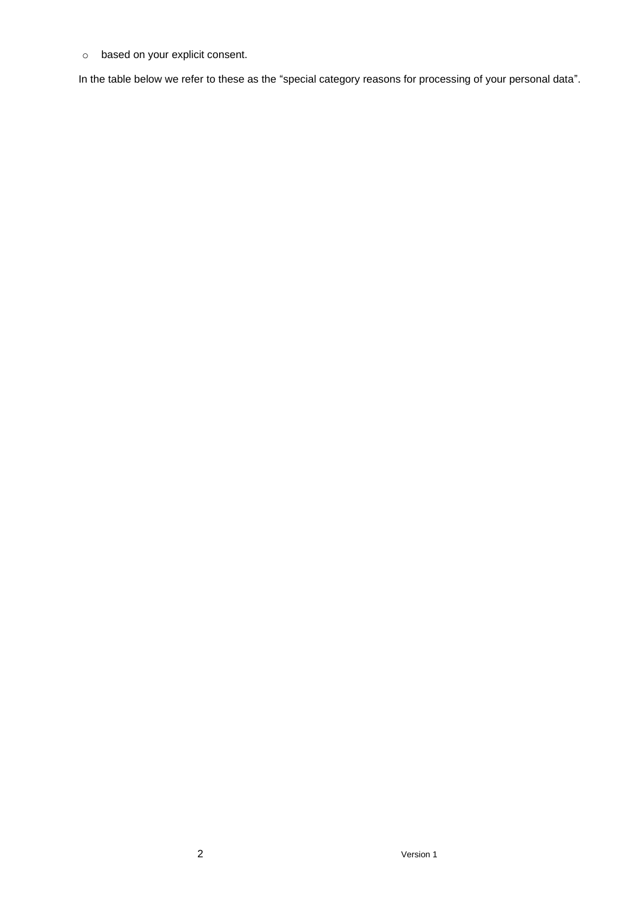o based on your explicit consent.

In the table below we refer to these as the "special category reasons for processing of your personal data".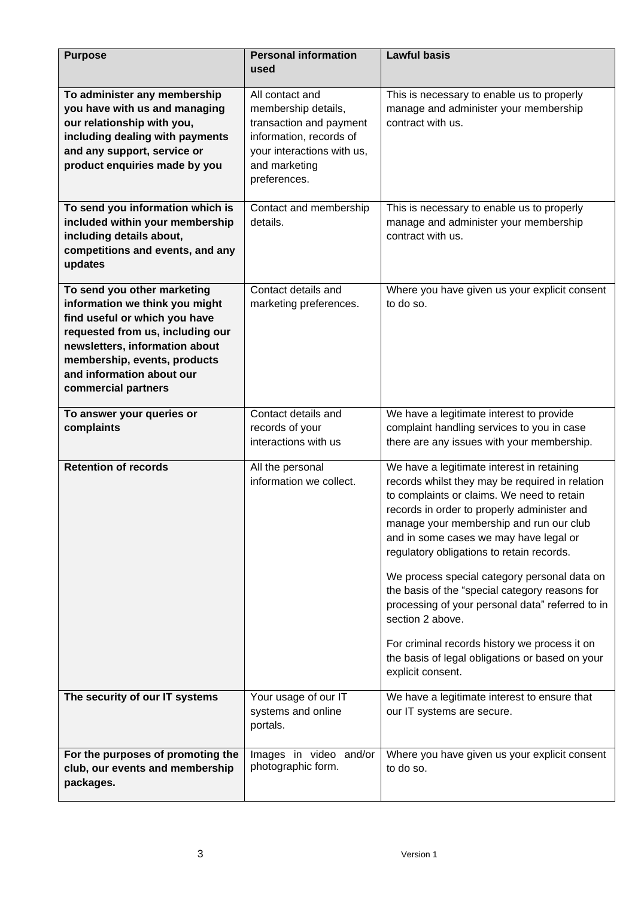| <b>Purpose</b>                                                                                                                                                                                                                                           | <b>Personal information</b>                                                                                                                                 | <b>Lawful basis</b>                                                                                                                                                                                                                                                                                                                                                                                                                                                                                                                                                                                                             |
|----------------------------------------------------------------------------------------------------------------------------------------------------------------------------------------------------------------------------------------------------------|-------------------------------------------------------------------------------------------------------------------------------------------------------------|---------------------------------------------------------------------------------------------------------------------------------------------------------------------------------------------------------------------------------------------------------------------------------------------------------------------------------------------------------------------------------------------------------------------------------------------------------------------------------------------------------------------------------------------------------------------------------------------------------------------------------|
|                                                                                                                                                                                                                                                          | used                                                                                                                                                        |                                                                                                                                                                                                                                                                                                                                                                                                                                                                                                                                                                                                                                 |
| To administer any membership<br>you have with us and managing<br>our relationship with you,<br>including dealing with payments<br>and any support, service or<br>product enquiries made by you                                                           | All contact and<br>membership details,<br>transaction and payment<br>information, records of<br>your interactions with us,<br>and marketing<br>preferences. | This is necessary to enable us to properly<br>manage and administer your membership<br>contract with us.                                                                                                                                                                                                                                                                                                                                                                                                                                                                                                                        |
| To send you information which is<br>included within your membership<br>including details about,<br>competitions and events, and any<br>updates                                                                                                           | Contact and membership<br>details.                                                                                                                          | This is necessary to enable us to properly<br>manage and administer your membership<br>contract with us.                                                                                                                                                                                                                                                                                                                                                                                                                                                                                                                        |
| To send you other marketing<br>information we think you might<br>find useful or which you have<br>requested from us, including our<br>newsletters, information about<br>membership, events, products<br>and information about our<br>commercial partners | Contact details and<br>marketing preferences.                                                                                                               | Where you have given us your explicit consent<br>to do so.                                                                                                                                                                                                                                                                                                                                                                                                                                                                                                                                                                      |
| To answer your queries or<br>complaints                                                                                                                                                                                                                  | Contact details and<br>records of your<br>interactions with us                                                                                              | We have a legitimate interest to provide<br>complaint handling services to you in case<br>there are any issues with your membership.                                                                                                                                                                                                                                                                                                                                                                                                                                                                                            |
| <b>Retention of records</b>                                                                                                                                                                                                                              | All the personal<br>information we collect.                                                                                                                 | We have a legitimate interest in retaining<br>records whilst they may be required in relation<br>to complaints or claims. We need to retain<br>records in order to properly administer and<br>manage your membership and run our club<br>and in some cases we may have legal or<br>regulatory obligations to retain records.<br>We process special category personal data on<br>the basis of the "special category reasons for<br>processing of your personal data" referred to in<br>section 2 above.<br>For criminal records history we process it on<br>the basis of legal obligations or based on your<br>explicit consent. |
| The security of our IT systems                                                                                                                                                                                                                           | Your usage of our IT<br>systems and online<br>portals.                                                                                                      | We have a legitimate interest to ensure that<br>our IT systems are secure.                                                                                                                                                                                                                                                                                                                                                                                                                                                                                                                                                      |
| For the purposes of promoting the<br>club, our events and membership<br>packages.                                                                                                                                                                        | Images in video and/or<br>photographic form.                                                                                                                | Where you have given us your explicit consent<br>to do so.                                                                                                                                                                                                                                                                                                                                                                                                                                                                                                                                                                      |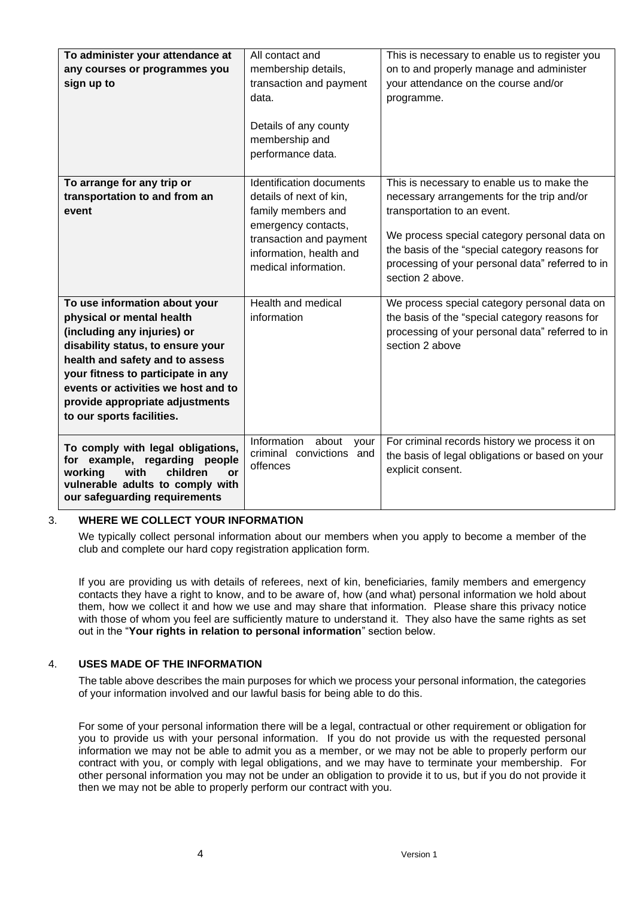| To administer your attendance at<br>any courses or programmes you<br>sign up to                                                                                                                                                                                                                                | All contact and<br>membership details,<br>transaction and payment<br>data.<br>Details of any county<br>membership and<br>performance data.                                     | This is necessary to enable us to register you<br>on to and properly manage and administer<br>your attendance on the course and/or<br>programme.                                                                                                                                                  |
|----------------------------------------------------------------------------------------------------------------------------------------------------------------------------------------------------------------------------------------------------------------------------------------------------------------|--------------------------------------------------------------------------------------------------------------------------------------------------------------------------------|---------------------------------------------------------------------------------------------------------------------------------------------------------------------------------------------------------------------------------------------------------------------------------------------------|
| To arrange for any trip or<br>transportation to and from an<br>event                                                                                                                                                                                                                                           | Identification documents<br>details of next of kin,<br>family members and<br>emergency contacts,<br>transaction and payment<br>information, health and<br>medical information. | This is necessary to enable us to make the<br>necessary arrangements for the trip and/or<br>transportation to an event.<br>We process special category personal data on<br>the basis of the "special category reasons for<br>processing of your personal data" referred to in<br>section 2 above. |
| To use information about your<br>physical or mental health<br>(including any injuries) or<br>disability status, to ensure your<br>health and safety and to assess<br>your fitness to participate in any<br>events or activities we host and to<br>provide appropriate adjustments<br>to our sports facilities. | Health and medical<br>information                                                                                                                                              | We process special category personal data on<br>the basis of the "special category reasons for<br>processing of your personal data" referred to in<br>section 2 above                                                                                                                             |
| To comply with legal obligations,<br>for example, regarding people<br>children<br>working<br>with<br>or<br>vulnerable adults to comply with<br>our safeguarding requirements                                                                                                                                   | Information<br>about<br>your<br>criminal convictions and<br>offences                                                                                                           | For criminal records history we process it on<br>the basis of legal obligations or based on your<br>explicit consent.                                                                                                                                                                             |

# 3. **WHERE WE COLLECT YOUR INFORMATION**

We typically collect personal information about our members when you apply to become a member of the club and complete our hard copy registration application form.

If you are providing us with details of referees, next of kin, beneficiaries, family members and emergency contacts they have a right to know, and to be aware of, how (and what) personal information we hold about them, how we collect it and how we use and may share that information. Please share this privacy notice with those of whom you feel are sufficiently mature to understand it. They also have the same rights as set out in the "**Your rights in relation to personal information**" section below.

# 4. **USES MADE OF THE INFORMATION**

The table above describes the main purposes for which we process your personal information, the categories of your information involved and our lawful basis for being able to do this.

For some of your personal information there will be a legal, contractual or other requirement or obligation for you to provide us with your personal information. If you do not provide us with the requested personal information we may not be able to admit you as a member, or we may not be able to properly perform our contract with you, or comply with legal obligations, and we may have to terminate your membership. For other personal information you may not be under an obligation to provide it to us, but if you do not provide it then we may not be able to properly perform our contract with you.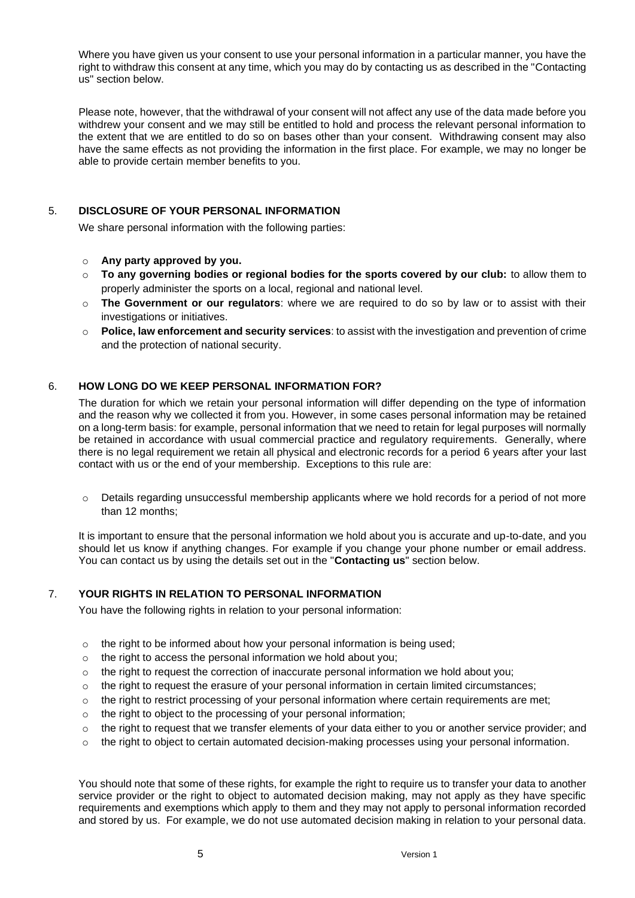Where you have given us your consent to use your personal information in a particular manner, you have the right to withdraw this consent at any time, which you may do by contacting us as described in the "Contacting us" section below.

Please note, however, that the withdrawal of your consent will not affect any use of the data made before you withdrew your consent and we may still be entitled to hold and process the relevant personal information to the extent that we are entitled to do so on bases other than your consent. Withdrawing consent may also have the same effects as not providing the information in the first place. For example, we may no longer be able to provide certain member benefits to you.

# 5. **DISCLOSURE OF YOUR PERSONAL INFORMATION**

We share personal information with the following parties:

- o **Any party approved by you.**
- o **To any governing bodies or regional bodies for the sports covered by our club:** to allow them to properly administer the sports on a local, regional and national level.
- o **The Government or our regulators**: where we are required to do so by law or to assist with their investigations or initiatives.
- o **Police, law enforcement and security services**: to assist with the investigation and prevention of crime and the protection of national security.

#### 6. **HOW LONG DO WE KEEP PERSONAL INFORMATION FOR?**

The duration for which we retain your personal information will differ depending on the type of information and the reason why we collected it from you. However, in some cases personal information may be retained on a long-term basis: for example, personal information that we need to retain for legal purposes will normally be retained in accordance with usual commercial practice and regulatory requirements. Generally, where there is no legal requirement we retain all physical and electronic records for a period 6 years after your last contact with us or the end of your membership. Exceptions to this rule are:

 $\circ$  Details regarding unsuccessful membership applicants where we hold records for a period of not more than 12 months;

It is important to ensure that the personal information we hold about you is accurate and up-to-date, and you should let us know if anything changes. For example if you change your phone number or email address. You can contact us by using the details set out in the "**Contacting us**" section below.

# 7. **YOUR RIGHTS IN RELATION TO PERSONAL INFORMATION**

You have the following rights in relation to your personal information:

- $\circ$  the right to be informed about how your personal information is being used:
- o the right to access the personal information we hold about you;
- $\circ$  the right to request the correction of inaccurate personal information we hold about you;
- $\circ$  the right to request the erasure of your personal information in certain limited circumstances;
- $\circ$  the right to restrict processing of your personal information where certain requirements are met;
- o the right to object to the processing of your personal information;
- $\circ$  the right to request that we transfer elements of your data either to you or another service provider; and
- $\circ$  the right to object to certain automated decision-making processes using your personal information.

You should note that some of these rights, for example the right to require us to transfer your data to another service provider or the right to object to automated decision making, may not apply as they have specific requirements and exemptions which apply to them and they may not apply to personal information recorded and stored by us. For example, we do not use automated decision making in relation to your personal data.